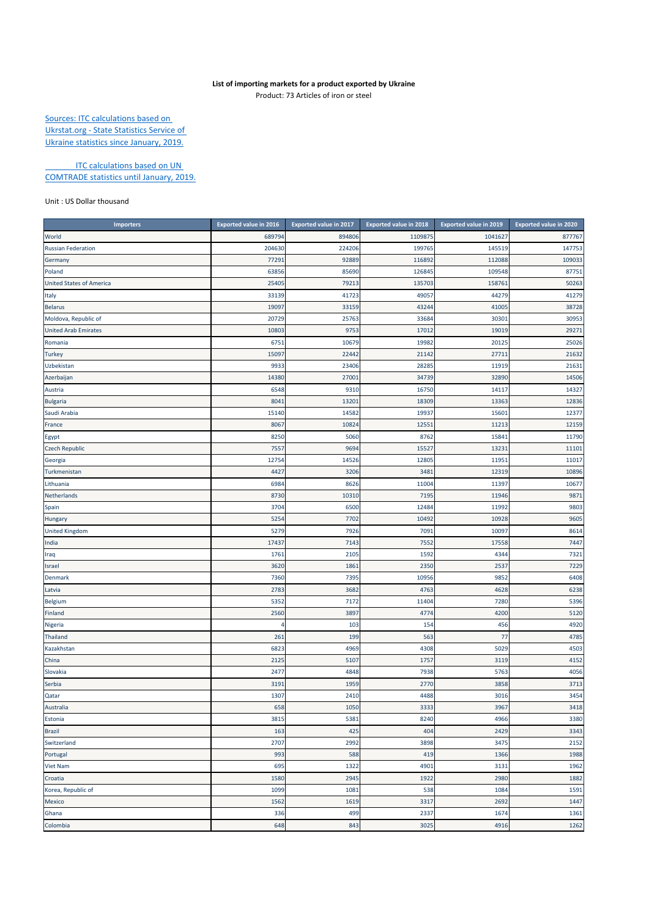## **List of importing markets for a product exported by Ukraine**

Product: 73 Articles of iron or steel

Sources: ITC calculations based on Ukrstat.org ‐ State Statistics Service of Ukraine statistics since January, 2019.

**ITC calculations based on UN** COMTRADE statistics until January, 2019.

Unit : US Dollar thousand

| <b>Importers</b>                | <b>Exported value in 2016</b> | <b>Exported value in 2017</b> | <b>Exported value in 2018</b> | <b>Exported value in 2019</b> | <b>Exported value in 2020</b> |
|---------------------------------|-------------------------------|-------------------------------|-------------------------------|-------------------------------|-------------------------------|
| World                           | 689794                        | 894806                        | 1109875                       | 1041627                       | 877767                        |
| <b>Russian Federation</b>       | 204630                        | 224206                        | 199765                        | 145519                        | 147753                        |
| Germany                         | 7729                          | 92889                         | 116892                        | 112088                        | 109033                        |
| Poland                          | 63856                         | 85690                         | 126845                        | 109548                        | 87751                         |
| <b>United States of America</b> | 25405                         | 79213                         | 135703                        | 158761                        | 50263                         |
| Italy                           | 33139                         | 41723                         | 49057                         | 44279                         | 41279                         |
| <b>Belarus</b>                  | 19097                         | 33159                         | 43244                         | 41005                         | 38728                         |
| Moldova, Republic of            | 20729                         | 25763                         | 33684                         | 30301                         | 30953                         |
| <b>United Arab Emirates</b>     | 10803                         | 9753                          | 17012                         | 19019                         | 29271                         |
| Romania                         | 675                           | 10679                         | 19982                         | 20125                         | 25026                         |
| <b>Turkey</b>                   | 1509                          | 22442                         | 21142                         | 27711                         | 21632                         |
| Uzbekistan                      | 9933                          | 23406                         | 28285                         | 11919                         | 21631                         |
| Azerbaijan                      | 14380                         | 27001                         | 34739                         | 32890                         | 14506                         |
| Austria                         | 6548                          | 9310                          | 16750                         | 14117                         | 14327                         |
| <b>Bulgaria</b>                 | 804                           | 13201                         | 18309                         | 13363                         | 12836                         |
| Saudi Arabia                    | 15140                         | 14582                         | 19937                         | 15601                         | 12377                         |
| France                          | 806                           | 10824                         | 12551                         | 11213                         | 12159                         |
| Egypt                           | 8250                          | 5060                          | 8762                          | 15841                         | 11790                         |
| <b>Czech Republic</b>           | 755                           | 9694                          | 15527                         | 13231                         | 11101                         |
| Georgia                         | 12754                         | 14526                         | 12805                         | 11951                         | 11017                         |
| Turkmenistan                    | 4427                          | 3206                          | 3481                          | 12319                         | 10896                         |
| Lithuania                       | 6984                          | 8626                          | 11004                         | 11397                         | 10677                         |
| Netherlands                     | 8730                          | 10310                         | 7195                          | 11946                         | 9871                          |
| Spain                           | 3704                          | 6500                          | 12484                         | 11992                         | 9803                          |
| Hungary                         | 5254                          | 7702                          | 10492                         | 10928                         | 9605                          |
| <b>United Kingdom</b>           | 5279                          | 7926                          | 7091                          | 10097                         | 8614                          |
| India                           | 17437                         | 7143                          | 7552                          | 17558                         | 7447                          |
| Iraq                            | 176                           | 2105                          | 1592                          | 4344                          | 7321                          |
| Israel                          | 3620                          | 1861                          | 2350                          | 2537                          | 7229                          |
| Denmark                         | 7360                          | 7395                          | 10956                         | 9852                          | 6408                          |
| Latvia                          | 278                           | 3682                          | 4763                          | 4628                          | 6238                          |
| Belgium                         | 5352                          | 7172                          | 11404                         | 7280                          | 5396                          |
| Finland                         | 2560                          | 3897                          | 4774                          | 4200                          | 5120                          |
| Nigeria                         | 4                             | 103                           | 154                           | 456                           | 4920                          |
| Thailand                        | 261                           | 199                           | 563                           | 77                            | 4785                          |
| Kazakhstan                      | 6823                          | 4969                          | 4308                          | 5029                          | 4503                          |
| China                           | 2125                          | 5107                          | 1757                          | 3119                          | 4152                          |
| Slovakia                        | 2477                          | 4848                          | 7938                          | 5763                          | 4056                          |
| Serbia                          | 319                           | 1959                          | 2770                          | 3858                          | 3713                          |
| Qatar                           | 1307                          | 2410                          | 4488                          | 3016                          | 3454                          |
| Australia                       | 658                           | 1050                          | 3333                          | 3967                          | 3418                          |
| Estonia                         | 3815                          | 5381                          | 8240                          | 4966                          | 3380                          |
| <b>Brazil</b>                   | 163                           | 425                           | 404                           | 2429                          | 3343                          |
| Switzerland                     | 2707                          | 2992                          | 3898                          | 3475                          | 2152                          |
| Portugal                        | 993                           | 588                           | 419                           | 1366                          | 1988                          |
| <b>Viet Nam</b>                 | 695                           | 1322                          | 4901                          | 3131                          | 1962                          |
| Croatia                         | 1580                          | 2945                          | 1922                          | 2980                          | 1882                          |
| Korea, Republic of              | 1099                          | 1081                          | 538                           | 1084                          | 1591                          |
| Mexico                          | 1562                          | 1619                          | 3317                          | 2692                          | 1447                          |
| Ghana                           | 336                           | 499                           | 2337                          | 1674                          | 1361                          |
| Colombia                        | 648                           | 843                           | 3025                          | 4916                          | 1262                          |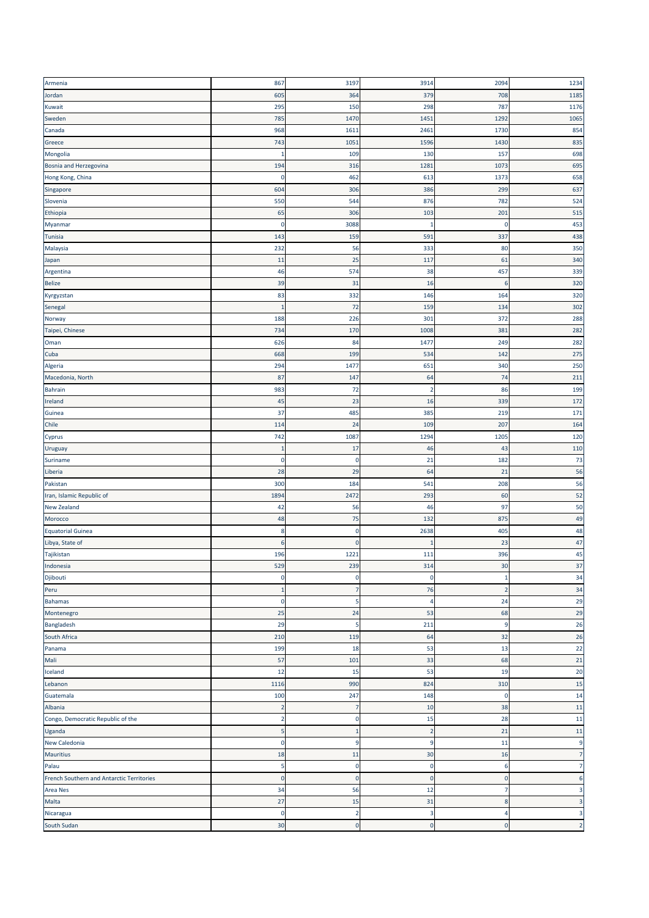| Armenia                                   | 867            | 3197           | 3914           | 2094           | 1234                    |
|-------------------------------------------|----------------|----------------|----------------|----------------|-------------------------|
| Jordan                                    | 605            | 364            | 379            | 708            | 1185                    |
| Kuwait                                    | 295            | 150            | 298            | 787            | 1176                    |
| Sweden                                    | 785            | 1470           | 1451           | 1292           | 1065                    |
| Canada                                    | 968            | 1611           | 2461           | 1730           | 854                     |
| Greece                                    | 743            | 1051           | 1596           | 1430           | 835                     |
| Mongolia                                  | п              | 109            | 130            | 157            | 698                     |
| Bosnia and Herzegovina                    | 194            | 316            | 1281           | 1073           | 695                     |
| Hong Kong, China                          | $\mathbf 0$    | 462            | 613            | 1373           | 658                     |
| Singapore                                 | 604            | 306            | 386            | 299            | 637                     |
| Slovenia                                  | 550            | 544            | 876            | 782            | 524                     |
|                                           | 65             | 306            | 103            | 201            | 515                     |
| Ethiopia                                  | $\pmb{0}$      | 3088           | 1              | $\Omega$       | 453                     |
| Myanmar                                   |                |                |                |                |                         |
| Tunisia                                   | 143            | 159            | 591            | 337            | 438                     |
| Malaysia                                  | 232            | 56             | 333            | 80             | 350                     |
| Japan                                     | 11             | 25             | 117            | 61             | 340                     |
| Argentina                                 | 46             | 574            | 38             | 457            | 339                     |
| <b>Belize</b>                             | 39             | 31             | 16             | 6              | 320                     |
| Kyrgyzstan                                | 83             | 332            | 146            | 164            | 320                     |
| Senegal                                   | $\overline{1}$ | 72             | 159            | 134            | 302                     |
| Norway                                    | 188            | 226            | 301            | 372            | 288                     |
| Taipei, Chinese                           | 734            | 170            | 1008           | 381            | 282                     |
| Oman                                      | 626            | 84             | 1477           | 249            | 282                     |
| Cuba                                      | 668            | 199            | 534            | 142            | 275                     |
| Algeria                                   | 294            | 1477           | 651            | 340            | 250                     |
| Macedonia, North                          | 87             | 147            | 64             | 74             | 211                     |
| <b>Bahrain</b>                            | 983            | 72             | -2             | 86             | 199                     |
| Ireland                                   | 45             | 23             | 16             | 339            | 172                     |
| Guinea                                    | 37             | 485            | 385            | 219            | 171                     |
| Chile                                     | 114            | 24             | 109            | 207            | 164                     |
| Cyprus                                    | 742            | 1087           | 1294           | 1205           | 120                     |
| Uruguay                                   | 1              | 17             | 46             | 43             | 110                     |
| Suriname                                  | $\pmb{0}$      | 0              | 21             | 182            | 73                      |
| Liberia                                   | 28             | 29             | 64             | 21             | 56                      |
| Pakistan                                  | 300            | 184            | 541            | 208            | 56                      |
| Iran, Islamic Republic of                 | 1894           | 2472           | 293            | 60             | 52                      |
| New Zealand                               | 42             | 56             | 46             | 97             | 50                      |
| Morocco                                   | 48             | 75             | 132            | 875            | 49                      |
| <b>Equatorial Guinea</b>                  | 8              | $\mathbf 0$    | 2638           | 405            | 48                      |
| Libya, State of                           | 6              | $\mathbf 0$    | п              | 23             | 47                      |
| Tajikistan                                | 196            | 1221           | 111            | 396            | 45                      |
| Indonesia                                 | 529            | 239            | 314            | 30             | 37                      |
| Djibouti                                  | $\pmb{0}$      | 0              | $\mathbf 0$    | 1              | 34                      |
| Peru                                      | 1              | 7              | 76             | $\overline{2}$ | 34                      |
| <b>Bahamas</b>                            | $\mathbf 0$    | 5              | $\overline{4}$ | 24             | 29                      |
| Montenegro                                | 25             | 24             | 53             | 68             | 29                      |
| Bangladesh                                | 29             | 5              | 211            | 9              | 26                      |
| South Africa                              | 210            | 119            | 64             | 32             | 26                      |
| Panama                                    | 199            | 18             | 53             | 13             | 22                      |
| Mali                                      | 57             | 101            | 33             | 68             | 21                      |
| Iceland                                   | 12             | 15             | 53             | 19             | 20                      |
| Lebanon                                   |                | 990            | 824            | 310            | 15                      |
|                                           | 1116           |                |                |                |                         |
| Guatemala                                 | 100            | 247            | 148            | $\mathbf 0$    | 14                      |
| Albania                                   | $\overline{2}$ | 7              | 10             | 38             | 11                      |
| Congo, Democratic Republic of the         | $\overline{2}$ | $\mathbf 0$    | 15             | 28             | 11                      |
| Uganda                                    | 5              | -1             | $\overline{2}$ | 21             | 11                      |
| New Caledonia                             | $\bf{0}$       | 9              | 9              | 11             | 9                       |
| <b>Mauritius</b>                          | 18             | 11             | 30             | 16             | 7                       |
| Palau                                     | 5              | $\mathbf 0$    | $\pmb{0}$      | 6              | 7                       |
| French Southern and Antarctic Territories | $\mathbf 0$    | $\mathbf 0$    | $\mathbf 0$    | $\mathbf 0$    | $\boldsymbol{6}$        |
| Area Nes                                  | 34             | 56             | 12             | $\overline{7}$ | $\overline{\mathbf{3}}$ |
| Malta                                     | 27             | 15             | 31             | 8              | 3                       |
| Nicaragua                                 | $\mathbf 0$    | $\overline{2}$ | 3              | 4              | 3                       |
| South Sudan                               | 30             | $\mathbf 0$    | $\pmb{0}$      | $\mathbf 0$    | $\overline{2}$          |